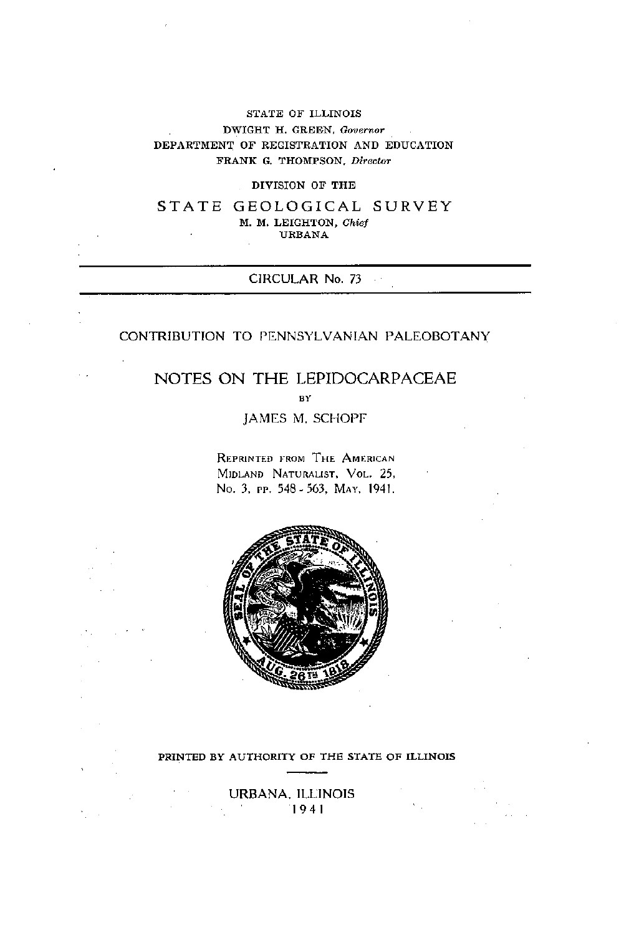## STATE OF ILLINOIS DWIGHT H. GREEN, *Governor* DEPARTMENT OF REGISTRATION AND EDUCATION FRANK G. THOMPSON. Director

#### DIVISION OF THE

STATE GEOLOGICAL SURVEY M. M. LEIGHTON, Chief URBANA

## CIRCULAR No. **73**

## CONTRIBUTION TO PLNNSYLVANIAN PALEOBOTANY

# NOTES ON THE LEPIDOCARPACEAE **BY**

JAMES M. SCHOPF

**REPRINTED FROM THE AMERICAN** MIDLAND NATURALIST, VOL. 25. No. **3,** rr. 548- 563, MAY. 1941.



#### PRINTED BY AUTHORITY OF **TH6** STATE OF ILLINOIS

URBANA. ILLINOIS 1941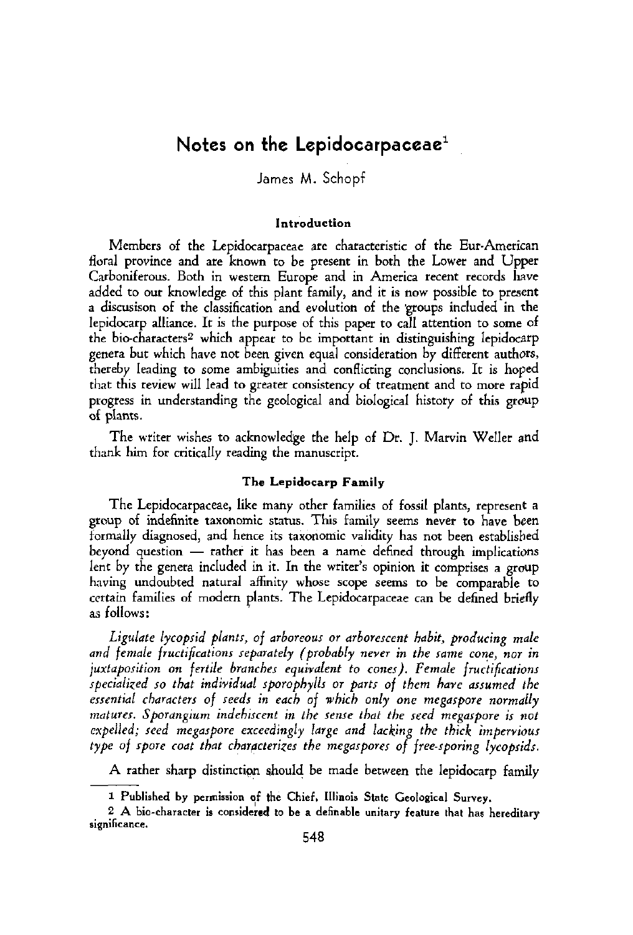# **Notes on the Lepidocarpaceae'**

James M. Schopf

#### **Introduction**

Members of the Lepidocarpaceae are characteristic of the Eur-American floral province and are known to be presenr in both the Lower and Upper Carboniferous. Both in western Europe and in America recent records have added to our knowledge of rhis plant family, and ir is now possible to present a discusison of the classification and evolution of the groups included in the lepidocarp alliance. Ir is the purpose of this paper to call artention to some of the bio-characters? which appear to be important in distinguishing lcpidocarp genera but which have nor been given equal consideration by differenr authors, thereby leading to some ambiguities and conflicring conclusions. It is hoped thar this review will lead to greater consistency of treatment and ro more rapid progress in understanding the geological and biological history of rhis group of plants.

The writer wishes to acknowledge the help of Dr. J. Marvin Weller and thank him for critically reading the manuscript.

## **The Lepidosarp Family**

The Lepidocarpaceae, like many other families of fossil plants, represent a group of indefinite taxonomic sratus. This family seems never to have been formally diagnosed, and hence its taxonomic validity has nor been established group of indefinite taxonomic status. This family seems never to have been<br>formally diagnosed, and hence its taxonomic validity has not been established<br>beyond question — rather it has been a name defined through implicati lent by the genera included in it. In the writer's opinion ir comprises a group having undoubted natural affinity whose scope seems to he comparable to certain families of modern plants. The Lepidocarpaceae can be defined briefly as follows:

Ligulate lycopsid plants, of arboreous or arborescent habit, producing male and female fructifications separately (probably never in the same cone, nor in juxtaposition on fertile branches equivalent to cones). Female fructifications rpecialiced so that individual rporophyllr or pmts of them have arumed the essential characters of seeds in each of which only one megaspore normally mdtures. Sporangium indehircent in the renre that the reed megarpore is not expelled; reed megarpore exceedingly large md lacking the thick imperviour type of spore coat that characterizes the megaspores of free-sporing lycopsids. and female fructific<br>juxtaposition on fe<br>specialized so that<br>essential characters<br>matures. Sporangiu<br>expelled; seed meg<br>type of spore coat<br>A rather sharp<br>1 Published by p<br>2 A bio-character

A rather sharp disrinction should be made between the lepidocarp family

<sup>1</sup> Published by permission of the Chief, Illinois State Geological Survey.

**<sup>2</sup>A bia-character** is **considered to** be **a definable unitary feature that has hereditary**  significance.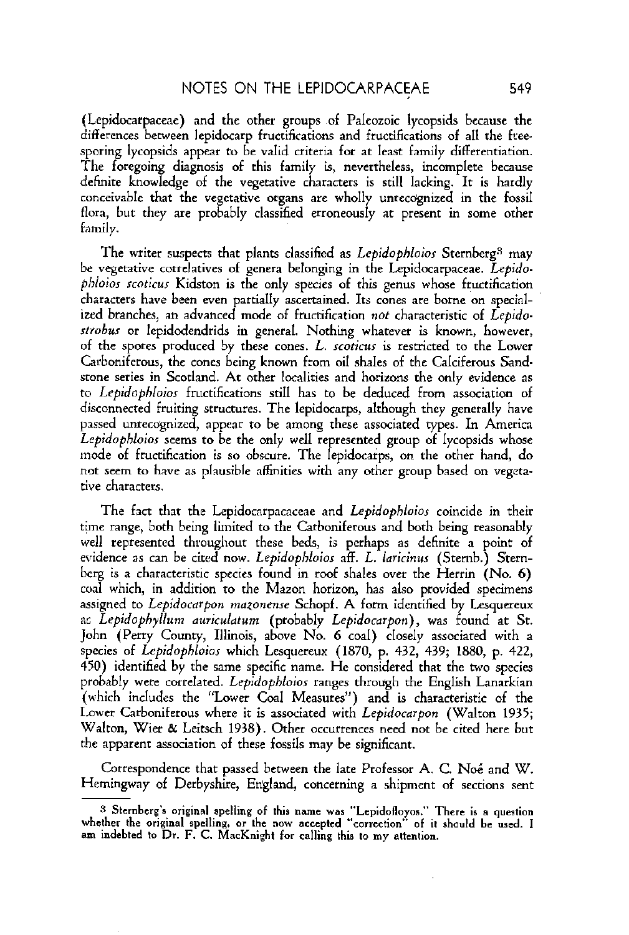(Lepidocarpaceae) and the other groups of Paleozoic lycopsids because the differences between lepidocarp fructifications and fructifications of all the ftee. sporing lycopsids appear to be valid criteria for at least family differentiation. The foregoing diagnosis of rhis family is, nevertheless, incomplete because definite knowledge of the vegetative characters is still lacking. It is hardly conceivable that the vegetative organs are wholly unrecognized in the fossil flora, but they are probably classified erroneously at present in some other family.

The writer suspects that plants classified as Lepidophloios Sternberg<sup>3</sup> may **be** vegetative correlatives of genera belonging in the Lepidacarpaceae. Lepidophloior scoticur Kidston is the only species of this genus whose fructification characters have been wen oartiallv ascertained. Its canes are borne on **soecinl**ized branches, an advanced mode of fructification not characteristic of Lepidostrobus or lepidodendrids in general. Nothing whatever is known, however, of the spores produced by these cones. L. scoticur is restricted to the Lower Carboniferous, the cones being known from oil shales of the Calciferous Sandstone series in Scotland. At orher localities and horizons the only evidence as to Lepidophloios fructifications still has to be deduced from association of disconnected fruiting structures. The lepidocarps, although they generally have<br>passed unrecognized, appear to be among these associated types. In America Lepidophloior seems to be the only well represented group of Iycopsids whose mode of fructification is so obscure. The lepidocarps, on the other hand, do not seem to have as plausible affinities with any other group based on vegetarive characters.

The fact that the Lepidocarpacaceae and Lepidophloios coincide in their time range, both being limited to the Carboniferous and both being reasonably well represented throughout these beds, is perhaps as definite a point of evidence as can be cited now. Lepidophloios aff. L. laricinus (Sternb.) Sternberg is a characteristic species found in roof shales over the Herrin (No. 6) coal which, in addition to the Mazon horizon, has also provided specimens assigned to Lepidocarpon mazonense Schopf. A form identified by Lesquereux as Lepidophyllum auriculatum (probably Lepidocarpon), was found at St. John (Perry County, Illinois, above No. 6 coal) closely associated with a species of Lepidophloior which Lesquereux (1870, p. 432, 439; 1880, p. 422, 150) identified by the same specific name. He considered that the two species probably were correlared. Lepidophloior ranges through the English Lanarkian (xhich includes the "Lower Coal Measures") and is characteristic of the Lower Carboniferous where it is associated with Lepidocarpon (Walton 1935; Walton, Wier & Leitsch 1938). Other occurrences need not be cited here but the apparent association of these fossils may be significant. 450) identified by<br>
450) identified by<br>
probably were corrected (which includes the<br>
U.cwer Carboniferous<br>
Walton, Wier & L<br>
the apparent associal Correspondence<br>
Herningway of De<br>
3 Sternberg's orig<br>
10 Sternberg's origin

Correspondence that passed between the late Professor A. C. Noé and W. Hemingway of Derbyshire, England, concerning a shipment of sections sent

**<sup>8</sup> Sternberg's original spelling of this name was "Lepidofloyos." There is a question** whether the original spelling, or the now acccptcd "correction" of it should be used. I am indebted to Dr. F. C. MacKnight for calling thia to my attention.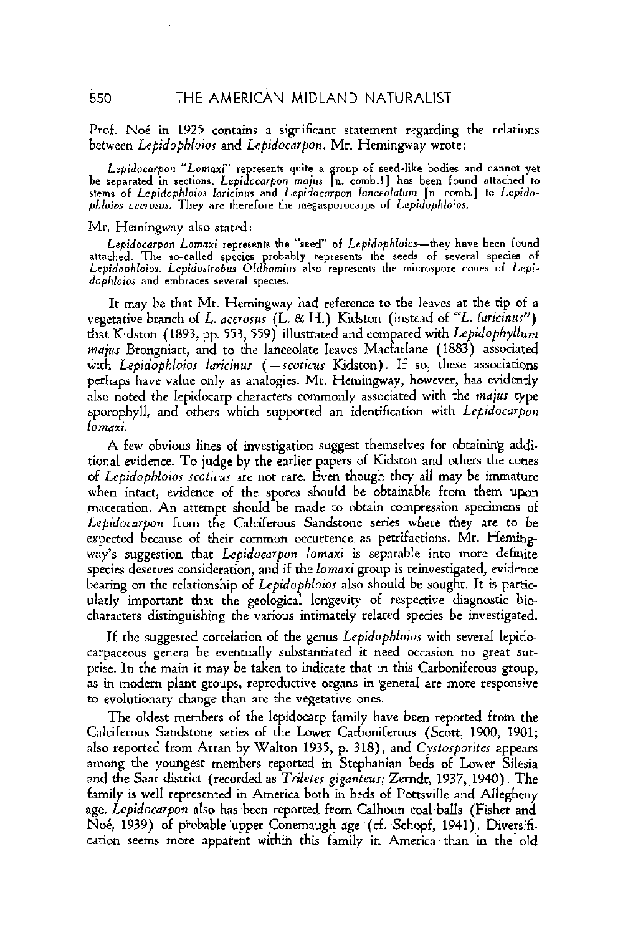## Prof. Noé in 1925 contains a significant statement regarding the relations between *Lepidophloior* and *Lepidocarpon.* Mr. Hemiqway wrote:

*L~pidocorpon "Lomaxi"* **represents quite a group of seed-like bodies and cannot yet be separated** in **sections.** *Lepidocarpon* **moju [n. comh.l] has been found attached to**  stems of Lepidophloios laricinus and Lepidocarpon lanceolatum [n. comb.] to Lepido-<br>phloios acerosus. They are therefore the megasporocarps of Lepidophloios.

#### Mr. Hemingway also statrd:

Lepidocarpon Lomaxi represents the "seed" of Lepidophloios—they have been found attached. The so-called species probably represents the seeds of several species of Lepidophloios. Lepidostrobus Oldhamius also represents the microspore cones of Lepi-<br>dophloios and embraces several species.

It may be that Mr. Hemingway had reference to the leaves at the tip of a vegetative branch of L. *acerorur* (L. & *H.)* Kidston (instead of "L. *[aricinur")*  that Kidston (1893, pp. 553, 559) illustrated and compared with *Lepidophyllum majus* Brongniart, and to the lanceolate leaves Macfarlane (1883) associated with *Lepidophloios laricinus* (=scoticus Kidston). If so, these associations perhaps have value only as analogies. Mr. Hemingway, however, has evidently also noted the lepidocarp characters commonly associated with the *majur* type sporophyll, and others which supported an identification with *Lepidocarfion lomaxi.* 

A few obvious lines of investigation suggest themselves for obtainhg additional evidence. To judge by the earlier papers of Kidston and others the cones of *Lepidophloior rcoticur* are not rare. Even though they all may be immature when intact, evidence of the spores should be obtainable from them upon maceration. An attempt should be made to obtain compression specimens of *Lepidocmpon* from the Calciferous Sandstone series where they are to be expected because of their common occurrence as petrifactions. Mr. Hemingway's suggestion that *Lepidocarpon lomaxi* is separable into more definite species deserves consideration, and if the *lomaxi* group is reinvestigated, evidence bearing on the relationship of *Lepidophloior* also should be sought. It is panicularly important that the geological longevity of respective diagnostic hie characters distinguishing the various intimately related species be investigated.

If the suggested correlation of the genus *Lepidophloios* with several lepidocarpaceous genera be eventually substantiated it need occasion no great surprise. In the main it may be taken to indicate that in this Carboniferous group, **as** in modem plant groups, reproductive organs in general are more responsive to evolutionary change than are the vegetative ones.

The oldest members of the lepidocarp family have been reported from the Calciferous Sandstone series of the Lower Carboniferous (Scott, 1900, 1901; also reported from Arran by Walton 1935, p. 318), and *Cyrrorporiter* appears among the youngest members reported in Stephanian beds of Lower Silesia and the Saar district (recorded as *Trileter giganteur;* Zerndr, 1937, 1940). The family is well represented in America both in beds of Portsville and Allegheny age. *Lepidocarpon* also has been reported from Calhoun coal balls (Fisher and Noé, 1939) of probable upper Conemaugh age (cf. Schopf, 1941). Diversification seems more apparent within this family in America than in the old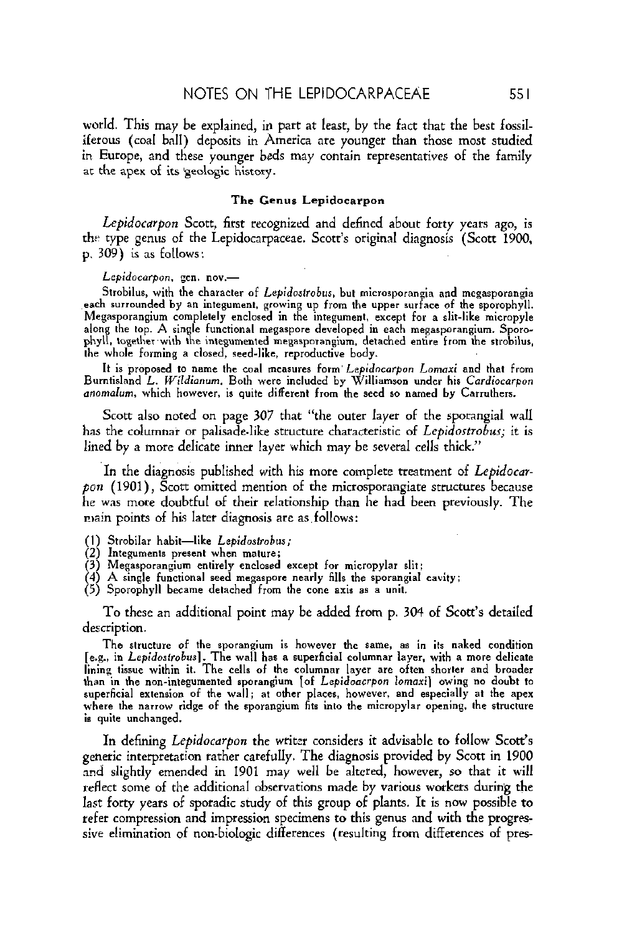world. This may be explained, in part at least, by the fact that the best fossilifetous (coal ball) deposits in America are younger than those most studied in Europe, and these younger beds may contain representatives of the family **at** the apex of its geologic history.

#### **The Genus** Lepidocarpon

Lepidocarpon Scott, first recognized and defined about forty years ago, is the type genus of the Lepidocarpaceae. Scott's original diagnosis (Scott 1900, p. 309) is **as** fallows:

#### Lepidocarpon, gen. nov.-

Strobilus, with the character of Lepidostrobus, but microsporangia and megasporangia each surrounded by an integument, growing up from the upper surface of the sporophyll. Megasporangium completely enclosed in the integument, except for a slit-like micropyle along the top. A single functional megaspore developed in each megasporangium. Sporophyll, together with the integumented megasporangium, detached entire from the strobilua. the whole forming a closed, seed-like, reproductive body.

It is proposed to name the coal measures form' Lepidocarpon Lomaxi and that from<br>Burntisland L. Wildianum. Both were included by Williamson under his Cardiocarpon onomalum, which however, is quite different from the seed **ao** named by Carruthers.

Scott also noted on page 307 that "the outer layer of the sporangial wall has the columnar or palisade like structure characteristic of Lepidostrobus; it is lined by a more delicate inner layer which may be several cells thick."

In the diagnosis published with his more complete treatment of Lepidocar $pon$  (1901), Scott omitted mention of the microsporangiate structures because he **was** more doubtful of their rehtionship than he had been areviouslv. The main points of his later diagnosis are as follows:

- (1) Strobilar habit-like Lepidostrobus;<br>(2) Integuments present when mature;
- 
- $(3)$  Megasporangium entirely enclosed except for micropylar slit:
- $(4)$  A single functional seed megaspore nearly fills the sporangial cavity;
- (5) Sporophyll became detached from the cone axis as **a** unit.

To these an additional point may be added from p. 304 of Scott's detailed description.

Tho structure of the rporaneium is however the same, **as** in its naked condition **[e.g.,** in Lepidorfrobus]. The wall has a superfieid columnar layer, with a **more** delicate lining tissue within it. The cells of the columnar layer are often shorter and broader than in **the** nan-integumented sporangium [of Lepidoacrpon lomaxi) owing no doubt lo superficial extension of the wall; at other places, **however,** and especially at the apex where the narrow ridge of the sporangium fits into the micropylar opcning. the structure is quite unchanged.

In defining *Lepidocarpon* the writer considers it advisable to follow Scott's genetic interpretation rather carefully. The diagnosis provided by Scott in 1900 md slightly emended in 1901 may well be alrcred, however, so that it will reflect some of the additional observations made by various workers during the last forty years of sporadic srudy of this group of plants. It is now possible to refer compression and impression specimens to this genus and with the progressive elimination of non-biologic differences (resulting from differences of pres-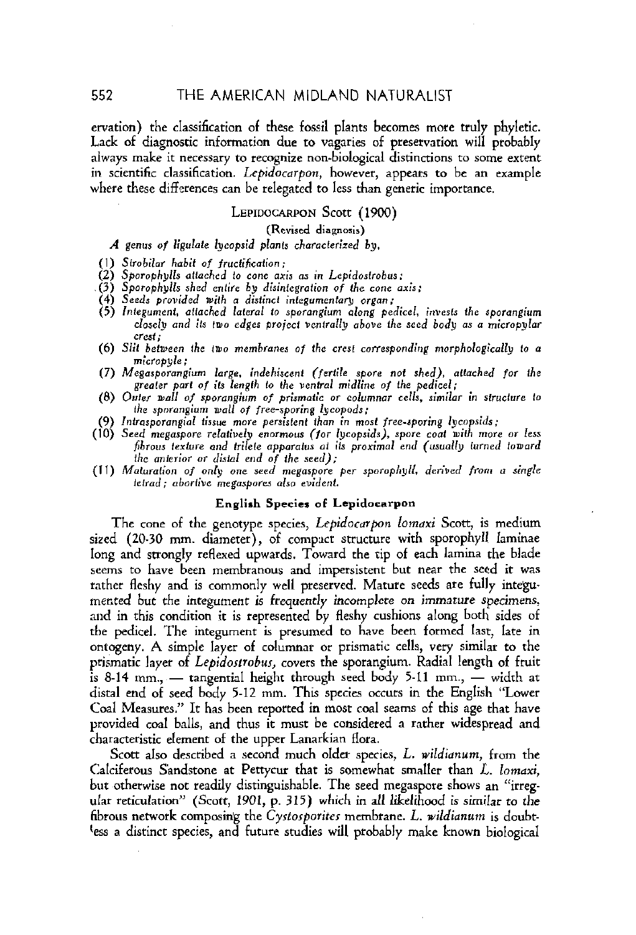ervation) the classification of these fossil plants becomes more truly phyletic. Lack of diagnostic information due to vagaries of preservation will probably always make it necessary to recognize non-biological distinctions to some extent in scientific classification. Lepidocarpon, however, appears to be an example where these differences can be relegated to less than generic importance.

#### LEPIDOCARPON Scott (1900)

(Revised diagnosis)

A genus of ligulate lycopsid plants characterized by,

(1) Strobilar habit of fructification;

- 
- 
- 
- (2) Sporophylls attached to cone axis as in Lepidostrobus;<br>
(3) Sporophylls shed entire by disintegration of the cone axis;<br>
(4) Seeds provided with a distinct integumentary organ;<br>
(5) Integument, attached lateral to spor closely and its two edges project ventrally above the seed body as a micropylar crest:
- (6) Slit between the two membranes of the crest corresponding morphologically to a micropyle;
- (7) Megasporangium large, indehiscent (fertile spore not shed), attached for the greater part of its length to the ventral midline of the pedicel;
- (8) Outer wall of sporangium of prismatic or columnar cells, similar in structure to the sporangium wall of free-sporing lycopods;
- (9) Intrasporangial tissue more persistent than in most free-sporing lycopsids;
- (10) Seed megaspore relatively enormous (for lycopsids), spore coat with more or less fibrous texture and trilete apparatus at its proximal end (usually turned toward the anterior or distal end of the seed);
- (11) Maturation of only one seed megaspore per sporophyll, derived from a single tetrad; abortive megaspores also evident.

#### **English Species of Lepidocarpon**

The cone of the genotype species, Lepidocarpon lomaxi Scott, is medium sized (20-30 mm. diameter), of compact structure with sporophyll laminae long and strongly reflexed upwards. Toward the tip of each lamina the blade seems to have been membranous and impersistent but near the seed it was rather fleshy and is commonly well preserved. Mature seeds are fully integumented but the integument is frequently incomplete on immature specimens, and in this condition it is represented by fleshy cushions along both sides of the pedicel. The integument is presumed to have been formed last, late in ontogeny. A simple layer of columnar or prismatic cells, very similar to the ptismatic layer of Lepidostrobus, covers the sporangium. Radial length of fruit is 8-14 mm., — tangential height through seed body 5-11 mm., — width at distal end of seed body 5-12 mm. This species occurs in the English "Lower Coal Measures." It has been reported in most coal seams of this age that have provided coal balls, and thus it must be considered a rather widespread and characteristic element of the upper Lanarkian flora.

Scott also described a second much older species, L. wildianum, from the Calciferous Sandstone at Pettycur that is somewhat smaller than L. lomaxi, but otherwise not readily distinguishable. The seed megaspore shows an "irregular reticulation" (Scott, 1901, p. 315) which in all likelihood is similar to the fibrous network composing the Cystosporites membrane. L. wildianum is doubtless a distinct species, and future studies will probably make known biological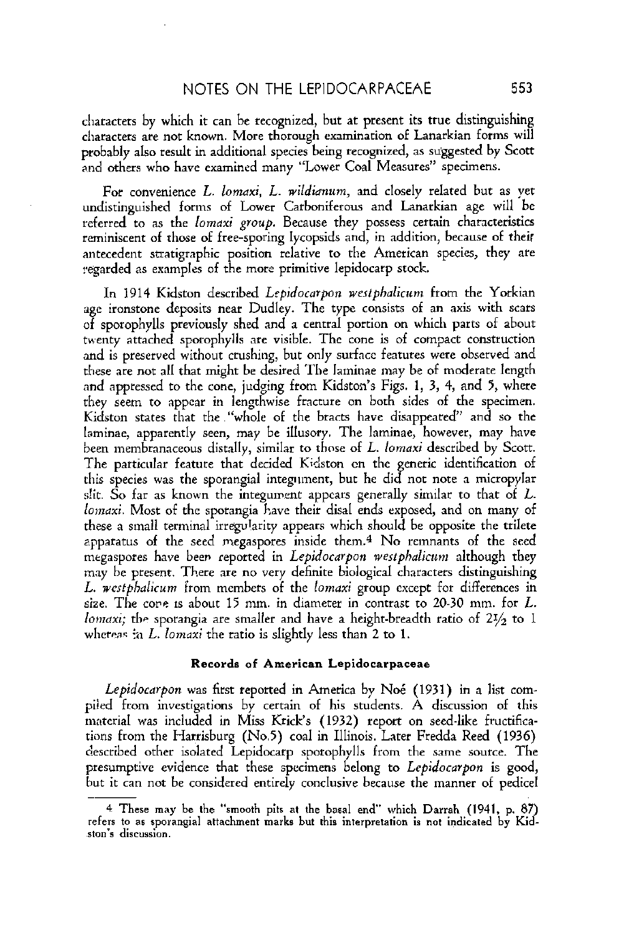characters by which it can be recognized, but at present its true distinguishing characters are not known. More thorough examination of Lanarkian forms will probably also result in additional species being recognized, as suggested by Scott and others who have examined many "Lower Coal Measures" specimens.

For convenience L. lomaxi, L. wildianum, and closely related but as yet undistinguished forms of Lower Carboniferous and Lanarkian age will be referred to as the *lomaxi group*. Because they possess certain characteristics reminiscent of those of free-sporing lycopsids and, in addition, because of their antecedent stratigraphic position relative to the American species, they are reqarded as examples of the morc primitive lepidocarp stock.

In 1914 Kidston described Lepidocarpon westphalicum from the Yorkian age ironstone deposits near Dudley. The type consists of an axis with scars of sporophylls previously shed and a central portion on which parts of about twenty attached sporophylls **are** visible. The cone is of compact construction and is preserved without crushing, but only surface features were observed and these are not all that might be desired The laminae tnay be of moderate length and appressed to the cone, judging from Kidston's Figs. 1, 3, 4, and 5, where they seem to appear in lengthwise fracture on both sidcs of the specimen. Kidston states that the "whole of the bracts have disappeared" and so the laminae, apparently seen, may be illusory. The laminae, however, may have been membranaceous distally, similar to those of L. lomaxi described by Scott. The particular feature that decided Kidston cn the generic identification of this species **was** the sporangial integument, but he did not note **a** micropylar slit. So far as known the integument appcars generally similar to that of  $L$ . lomaxi. Most of the sporangia have their disal ends exposed, and on many of these a small terminal irregularity appears which should be opposite the trilete apparatus of the seed megaspores inside them.4 No remnants of the seed megaspores have been reported in Lepidocarpon westphalicum although they may be present. There **are** no very definite biological characters distinguishing L. westphalicum from members of the lomaxi group except for differences in size. The cope is about 15 mm. in diameter in contrast to 20-30 mm. for  $L$ . lomaxi; the sporangia are smaller and have a height-breadth ratio of  $2\frac{1}{2}$  to 1 whereas  $a L$ . *Iomaxi* the ratio is slightly less than 2 to 1.

#### **Records of American Lepidoearpaseae**

Lepidocarpon was first reported in America by Noé  $(1931)$  in a list compiled from investigations by certain of his students. A discussion of this material was included in Miss Krick's (1932) report on seed-like fructifications from the Harrisburg (No.5) coal in Illinois. Later Fredda Reed (1936) described other isolated Lepidacarp sparophylls from the same source. The presumptive evidence that these specimens belong to Lepidocarpon is good, but it can not be considered entirely conclusive because the manner of pedicel

<sup>4</sup> **These** may be the "smooth pits at the **basal end"** which Darrah (1941. p. **87)**  refers to **sa** aporangral attachment **marks** but thin interpretation is **not** indicated **by** Kidston's discussion.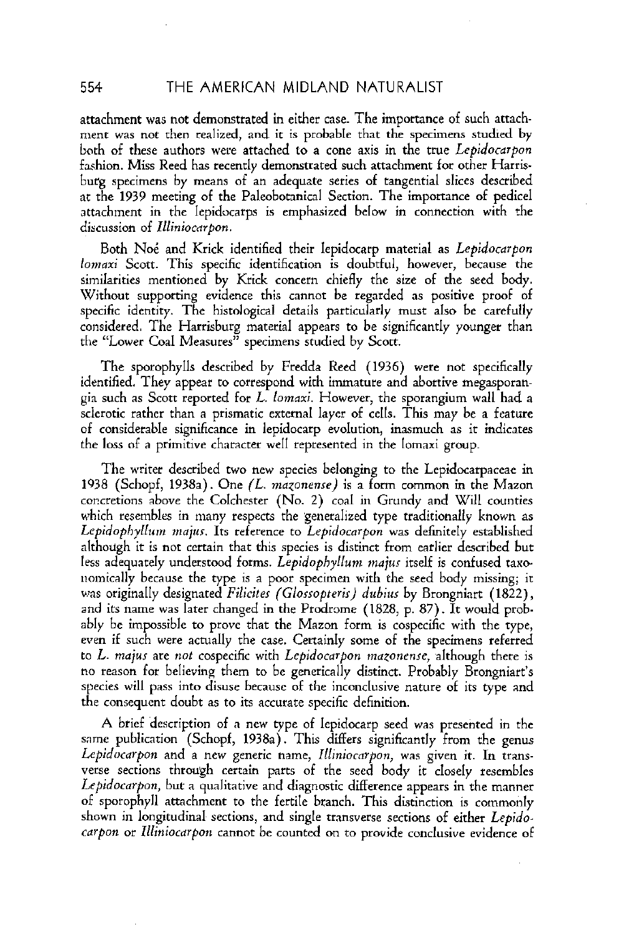atrachment was not demonstrated in either case. The importance of such attachment was not then realized, and it is probable that the specimens studied by both of these authors were attached to a cone axis in the true Lepidocarpon fashion. Miss Reed has recently demonstrated such attachment for other Harrisburg specimens by means of an adequate series of tangential slices described at the 1939 meeting of the Paleobotanical Section. The importance of pedicel attachment in the lepidocarps is emphasized below in connection with the discussion of Illiniocarpon.

Both Noé and Krick identified their lepidocarp material as Lepidocarpon lomaxi Scott. This specific identification is doubtful, however, because the similarities mentioned by Krick concern chiefly the size of the seed body. Without supporting evidence this cannot be regarded as positive proof of specific identity. The histological details particularly must also be carefully considered. The Harrisburg material appears to be significantly younger than the "Lower Coal Measures" specimens studied by Scott.

The sporophylls described by Fredda Reed (1936) were not specifically identified. They appear to correspond with immature and abortive megasporangia such as Scott reported for L. lomaxi. Howwer, the sporangium wall had a sclerotic rather than a prismatic external layer of cells. This may be a feature of considerable significance in lepidocarp evolution, inasmuch as it indicates the loss of a primitive character well represented in the lomaxi group.

The writer described two new species belonging to the Lepidocarpaceae in 1938 (Schopf, 1938a). One  $(L.$  mazonense) is a form common in the Mazon concretions above the Colchester (No. **2)** coal in Grundy and Will counties which resembles in many respects the generalized type traditionally known as Lepidophyllum majus. Its reference to Lepidocarpon was definitely established although it is not certain that this species is distinct from earlier described but less adequately understood forms. Lepidophyllum majus itself is confused taxonomically because the type is a poor specimen with the seed body missing; it was originally designated Filicites (Glossopteris) dubius by Brongniart (1822), and its name was later changed in the Prodrome (1828, p. 87). It would probably be impossible to prove that the Mazon form is cospecific with the type, even if such were actually the case. Certainly some of the specimens referred to *L*. majus are not cospecific with Lepidocarpon mazonense, although there is no reason for believing them to be generically distinct. Probably Brongniart's species will pass into disuse because of the inconclusive nature of its type and the consequent doubt as to its accurate specific definition.

A brief description of a new type of lepidocarp seed was presented in the same publication (Schopf, 1938a). This differs significantly from the genus Lepidocarpon and a new generic name, Illiniocarpon, was given it. In transverse sections through certain parts of the seed body it closely resembles Lepidocarpon, but a qualitative and diagnostic difference appears in the manner of sporophyll attachment to the fertile branch. This distinction is commonly shown in longitudinal sections, and single transverse sections of either Lepidocarpon or Illiniocarpon cannor be counted on to provide conclusive evidence of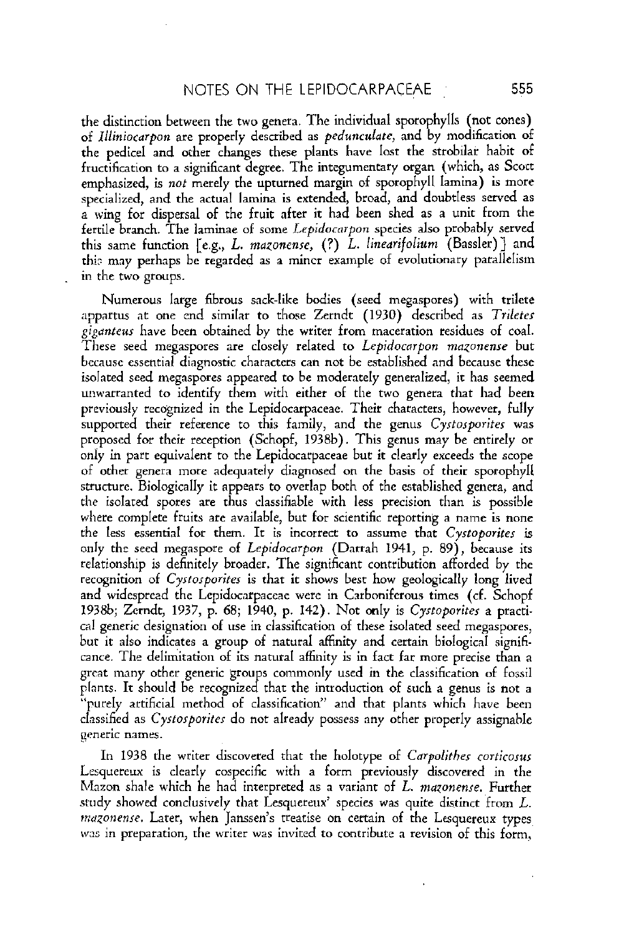the distinction between the two genera. The individual sporophylls (not cones) of *Illiniocarpon* are properly described as *pedunculate*, and by modification of the pedicel and other changes these plants have lost the strobilar habit of fructification to a significant degree. The integumentary organ (which, as Scott emphasized, is *not* merely the upturned margin of sporophyll lamina) is mote specialized, and the actual lamina is extended, broad, and doubtless served as a wing for dispersal of the fruit after it had been shed as a unit from the fertile branch. The laminae of some *Lepidocorpun* species also probably served this same function [e.g., *L. mazonenre,* (?) *L. linearifolium* (Bassler)] and thir may perhaps **bc** regarded as a mincr example of evolutionary parallelism in the two groups.

Numerous large fibrous sack-like bodies (secd megaspores) with trilcte appartus at one end similar to those Zerndt (1930) described as *Trileter giganteus* have been obtained by the writer from maceration residues of coal. These seed megaspores are closely related to *Lepidocarpon mazonenre* but **because** essential diagnostic characters can not be established and because these isolated seed megaspores appeared to be moderately generalized, it has seemed unwarranted to identify them with either of the two genera that had been previously recqnized in the Lepidocarpaceae. Their characters, however, fully supported their reference to this family, and the genus *Cystosporites* was proposed for their reception (Schopf, 1938b). This genus may be entirely or only in part equivalent to the Lepidocarpaceae but it clearly exceeds the scope of other genera more adequately diagnosed on the basis of their sporophyll structure. Biologically it appears to overlap both of the established genera, and the isolated spores are thus classifiable with less precision than is possible where complete fruits are available, but for scientific reporting a name is none the less essential for them. It is incorrect to assume that *Cyrtoporiter* is only the secd megaspore of *Lepidocarpon* (Darrah 1941, p. 89), because its relationship is definitely broader. The significant contribution afforded by the recognition of *Cyrtorporites* is that it shows best how geologically long lived and widespread the Lepidocarpaceae were in Carboniferous times (cf. Schopf 1938b; Zerndt, 1937, p. 68; 1940, p: 142). Not mly is *Cyrtoporiter* a practical generic designation of use in classification of these isolated seed megaspores, bur it also indicates a group of natural affinity and certain biological significance. The delimitation of its natural affinity is in fact far more precise than a great many other generic groups commonly used in the classification of fossil plants. It should be recognized that the introduction of such a genus is not a "purely artificial method of classificatian" and that plants which have been classified as *Cyrtorporiter* do not already possess any other properly assignable generic names.

In 1938 the writer discovered that the holotype of *Carpolithes corticosus* Lcsqucreux is clearly cospecific with a form previously discovered in the Mazon shale which he had interpreted **as** a variant of L. *matonenre.* Further study showed conclusively that Lesquereux' species was quite distinct from L. *mazonense*. Later, when Janssen's treatise on certain of the Lesquereux types was in preparation, the writer was invited to contribute a revision of this form,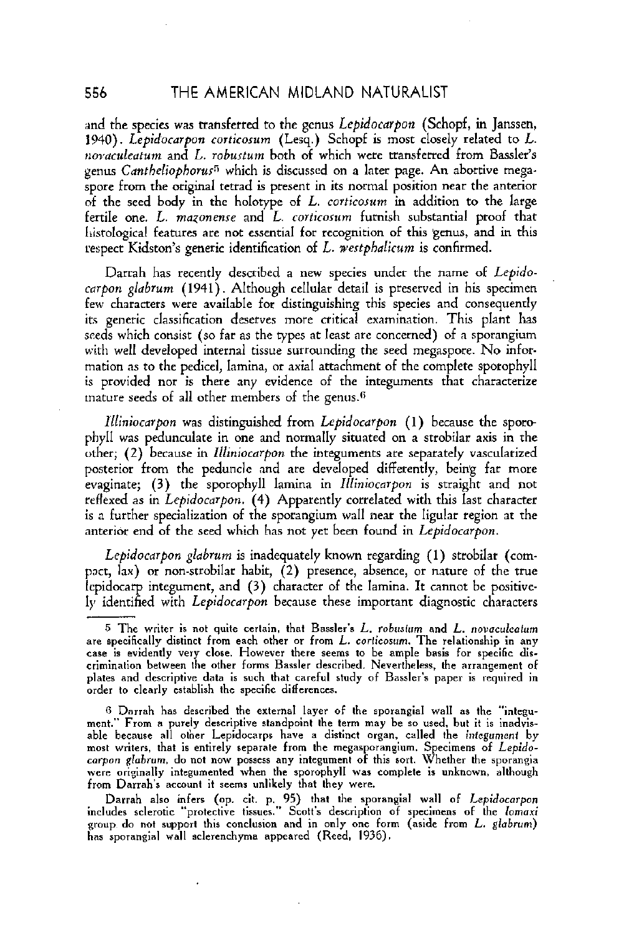and the species was transferred to the genus *Lepidocarpon* (Schopf, in Janssen, 1940). *Lepidocarpon corticosum (Lesq.)* Schopf is most closely related to *L. ~~o~~aculearum* and *L. roburtum* both of which were transferred from Bassler's genus *Cantheliophorus<sup>5</sup>* which is discussed on a later page. An abortive megaspore from the original tetrad is present in its normal position near the anterior of the seed body in the holotype of *L, corticosum* in addition to the large fertile one. *L. mazonense* and *L. corticosum* furnish substantial proof that liistol~~ical features **are** not essential for recognition of this genus, and in rhis respect Kidston's generic identification of L. *westphalirum* is confirmed.

Darrah has recentlv described a new species under the name of *Lepido*  carpon glabrum (1941). Although cellular detail is preserved in his specimen<br>few characters were available for distinguishing this species and consequently its generic classification deserves more critical examination. This plant has seeds which consist (so far as the types at least are concerned) of **a** sporangium with well developed internal tissue surrounding the seed megaspore. No information as to the pedicel, lamina, or axial attachment af the complete sporaphyll is provided nor is there any evidence of the integuments that characterize mature seeds of all other members of the genus.<sup>6</sup>

*lliniocarpon* was distinguished from *Lepidocarpon* (1) because the sporophyll was pedunculate in one and normally situatcd on a strobilar axis in the other; (2) because in *lllrniocarpon* the integuments ate separately vascularized posterior from the peduncle and are developed differently, being far more evaginate; (3) the sporophyll lamina in *Zlliniocarpon* is straight and not reflexed as in *Lepidocarpon.* (4) Apparently correlated with this last character is a further specialization of the sporangium wall near the ligular region at the anterior end of the seed which has not yet been found in *Lepidocarpon*.

*Lepidocarpon glabrurn* is inadequately known regarding (1) strobilar (compact, lax) or non-strohilar habit, (2) presence, absence, or nature of the true lcpidocarp integument, and (3) character of the lamina. It cannot be positively identified with *Lepidocarpon* because these important diagnostic characters

<sup>5</sup> The writer is not quite certain, that Bassler's  $L$ . robustum and  $L$ . novaculeatum are specifically distinct from each other or from  $L.$  corticosum. The relationship in any **case** is evidently very close. However there seems to be ample basis for specific discrimination between the other forms Bassler described. Neverthelesn, the arrangement of plates and descriptive data is such that careful study of Bassler's paper is required in order to clearly establish the specific differences.

**<sup>0</sup>** Darrah has described the external layer of the sporangial wall as the "integument." From **n** purely descriptive standpoint the term may be **so** used. but it is inadvisable because all other Lepidocarps have a distinct organ, called the *integument* by<br>most writers, that is entirely separate from the megasporangium. Specimens of *Lepido-*<br>carpon glabrum, do not now possess any integument from Darrah's account it seems unlikely that they were.

Darrah also infers (op. cit. p. 95) that the sporangial wall of *Lepidocarpon* includes sclerotic "protective tissues." Scott's description of specimens of the *lomaxi* **group** do not support this **eonelusion** and in only **one** form (aside from L. globrum) has spornnginl wall sclerenchyma appeared (Reed. 1936).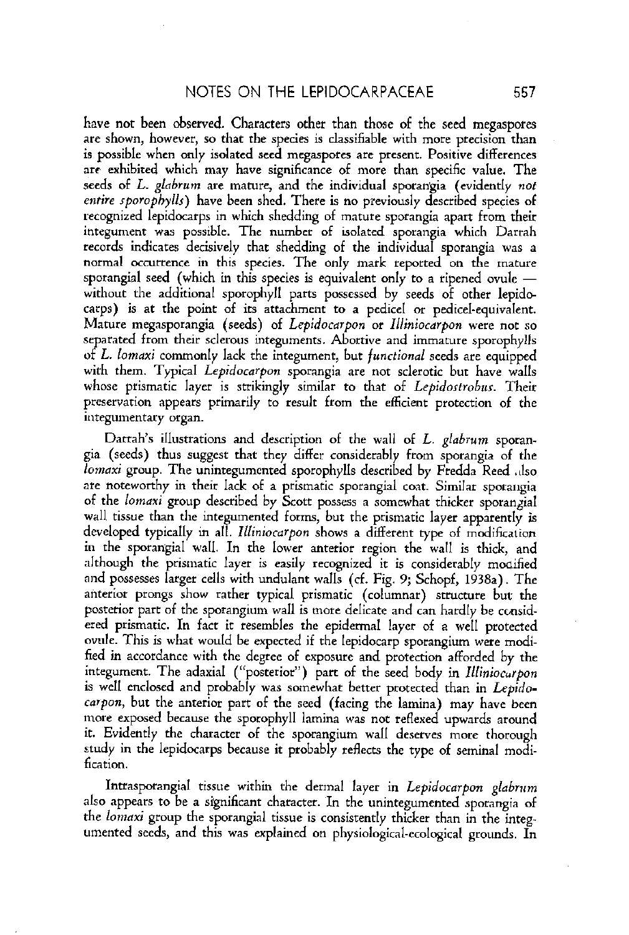have not been observed. Characters other than those of the seed megaspores are shown, however, so that the species is classifiable with more precision than is possible when only isolated seed megaspotes **are** present. Positive differences **arc** exhibited which may have significance of more than specific value. The seeds of L. glabrum are mature, and the individual sporangia (evidently not entire *sporophylls*) have been shed. There is no previously described species of recognized lepidocarps in which shedding of mature sporangia apart from their integument was possible. The number of isolated sporangia which **Darrah**  records indicates decisively that shedding of the individual sporangia was a normal occurrence in this species. The only mark reported on the mature sporangial seed (which in this species is equivalent only to a ripened ovule  $$ without the additional sporophyll parts possessed by seeds of other lepidocarps) is at the point of irs attachment to a pedicel **or** pedicel-equivalent. Mature megasporangia (seeds) of Lepidocarpon or Illiniocarpon were not so separated from their sclerous integuments. Abortive and immature sporophylls of L. Iomaxi commonly lack the integument, but functional seeds are equipped with them. Typical Lepidocarpon sporangia are not sclerotic but have walls whose prismatic layer is strikingly similar to that of Lepidostrobus. Their preservation appears primarily to result from the efficient protection of the integumentary organ.

Darrah's illustrations and description of the wall of  $L$ .  $glabrum$  sporangia (seeds) thus suggest that they differ considerably from sporangia of the lomaxi group. The unintegumented sporophylls described by Fredda Reed .dso are noteworthy in their lack of a prismatic sporangial coat. Similar sporangia of the lomaxi group described by Scott possess a somewhat thicker sporangial wall tissue than the integumented forms, but the prismatic layer apparently is developed typically in all. Illiniocarpon shows a different type of modification in the sporangial wall. In the lower anterior region the wall is thick, and although the prismatic layer is easily recognized it is considerably modified and possesses larger cells with undulant walls (cf. Fig. 9; Schopf, **19382).** The anterior prongs show rather typical prismatic (columnar) structure but the posterior part of the sporangium wall is more delicate and can hardly be considered prismatic. In fact it resembles the epidermal layer of a well protected ovule. This is what would be expected if the lepidocarp sporangium were modified in accordance with the degree of exposure and protection afforded by the integument. The adaxial ("posterior") part of the seed body in llliniocurpon is well enclosed and probably was somewhat better protected than in Lepidocarpon, but the anterior part of the seed (facing the lamina) may have been more exposed because the sporophyll lamina was not reflexed upwards around it. Evidently the character of the sporangium wall deserves more thorough study in the lepidocarps because it probably reflects the type of seminal modification.

Intrasporangial tissue within the dermal layer in Lepidocarpon glabrum also appears to be a significant character. In the unintegumented sporangia of the lomaxi group the sporangial tissue is consistently thicker than in the integumented seeds, and this was explained on physiological-ecological grounds. In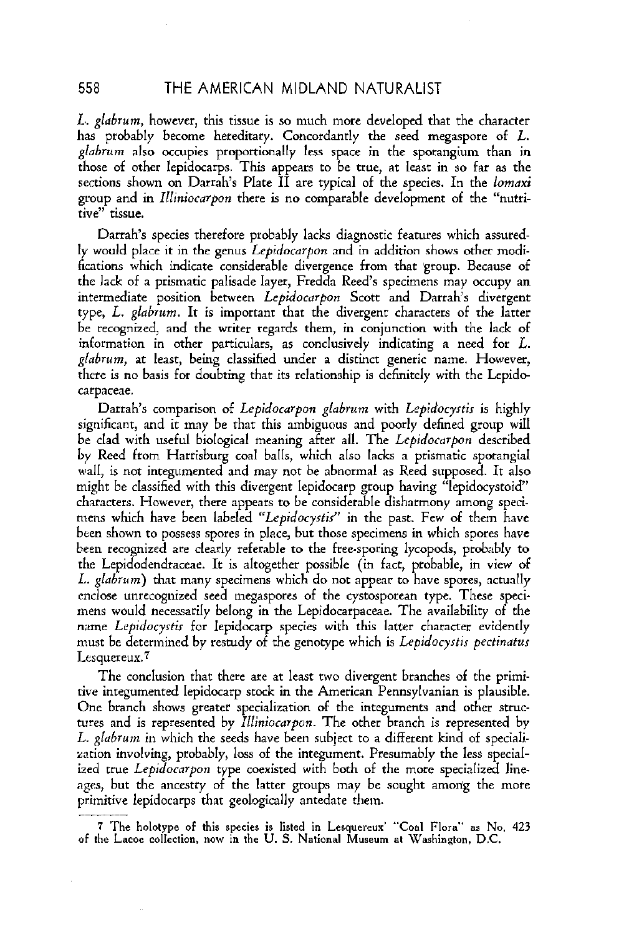L. *glabrum*, however, this tissue is so much more developed that the character has probably become hereditary. Concordantly the seed megaspore of  $L$ . glabrum also occupies proportionally less space in the sporangium than in those of other lepidocarps. This appears to be true, at least in so far as the sections shown on Darrah's Plate II are typical of the species. In the lomaxi group and in Zlliniocarpon there is no comparable development of the "nutritive" tissue.

Darrah's species therefore probably lacks diagnostic features which assuredly would place it in the genus Lepidocarpon and in addition shows other modifications which indicate considerable divergence from that group. Because of the lack of a prismatic palisade layer, Fredda Reed's specimens may occupy an intermediate position between Lepidocarpon Scott and Darrah's divergent type, L. giabrum. It is important thar the divergent characters of the latter be recognized, and the writer regards them, in conjunction with the lack of information in other particulars, as conclusively indicating a need for  $L$ . glabrum, at least, being classified under a distinct generic name. However, there is no basis for doubting thar its relationship is definitely with the Lepide carpaceae.

Darrah's comparison of Lepidocarpon glabrum with Lepidocystis is highly significant, and it may be that this ambiguous and poorly defined group will be clad with useful biological meaning after all. The Lepidocarpon described by Reed from Harrisburg coal balls, which also lacks a prismatic sporangial wall, is not integumented and may not be abnormal as Reed supposed. It also might be classified with this divergent lepidocarp group having "lepidocystoid" characters. However, there appears to be considerable disharmony among specimens which have been labeled "Lepidocystis" in the past. Few of them have been shown to possess spores in place, but those specimens in which spores have heen recognized **are** clearly referable to the free-sporing lycopods, prdxibly to the Lepidadendraceae. It is altogether possible (in fact, probable, in view of *L. glabrum*) that many specimens which do not appear to have spores, actually cnclose unrecognized seed megaspores of the cystosporean type. These specimens would necessarily belong in the Lepidocarpaceae. The availability of the name Lepidocystis for lepidocarp species with this latter character evidently must be determined by restudy of the genotype which is Lepidocystis pectinatus Lesquereux.7

The conclusion that there are at least two divergent branches of the primitive integumented lepidocarp stock in the American Pennsylvanian is plausible. One branch shows greater specialization of the integuments and other structures and is represented by *Illiniocarpon*. The other branch is represented by L. glabrum in which the seeds have been subject to a different kind of specialization involving, probably, **loss** of the integument. Presumably the less specialized true Lepidocarpon type coexisted with both of the more specialized lineages, but the ancestry of the latter groups may be sought among the more primitive lepidocarps that geologically antedate them. The conclusion that there are at least two diverger<br>tive integumented lepidocarp stock in the American P.<br>One branch shows greater specialization of the integ<br>tures and is represented by *Illiniocarpon*. The other<br>*L. glab* 

<sup>7</sup> The holotype of this species **is** listed in Lesquereur' **"Coal** Flora" as **No.** 423 **of** the **Lame** collection, now in the **U.** S. **National Museum** at Wanhinetan, D.C.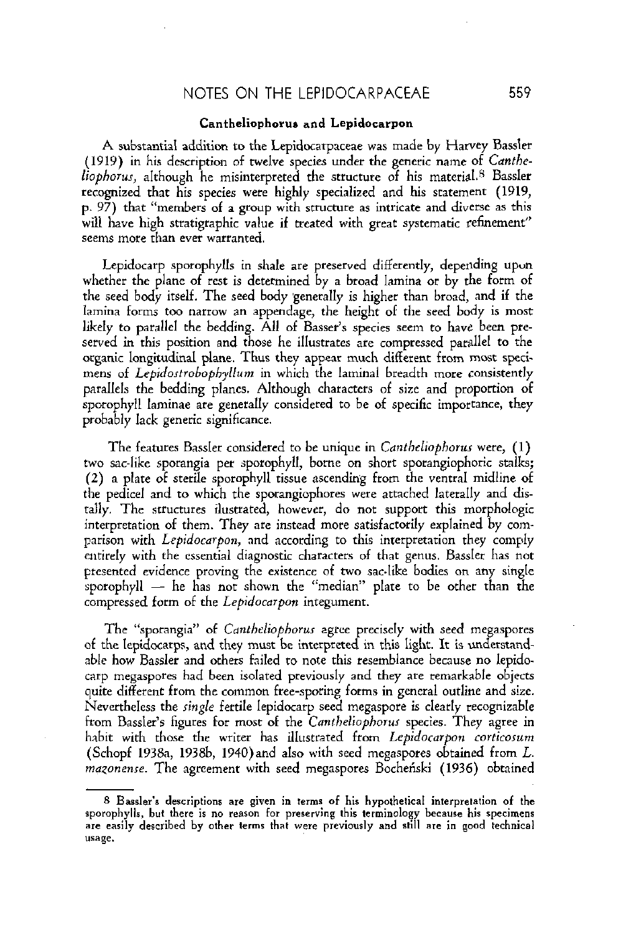#### Cantheliophorus and Lepidosarpon

A substantial addition to the Lepidocarpaceae was made by Harvey Bassler (1919) in his description of twelve species under the generic name of Cantheliophorus, although he misinterpreted the structure of his material.<sup>8</sup> Bassler recognized that his species were highly specialized and his statement (1919, p. 97) that "members of a group with structure as intricate and diverse as this will have high stratigraphic value if treated with great systematic refinement" seems more rhan **ever** warranted.

Lepidocarp sporophylls in shale are preserved differently, depending upon whether the plane of rest is determined by a broad lamina or by the form of the seed body itself. The seed body generally is higher rhan broad, and if the lamina forms too narrow an appendage, the height of the seed body is most likely to parallel the bedding. All of Basser's species seem to have been preserved in this position and those he illustrates are compressed parallel to the organic longitudinal plane. Thus they appear much different from most specimens of Lepidostrobophyllum in which the laminal breadth more consistently parallels the bedding planes. Although characters of size and proportion of sporophyll laminae are generally considered to be of specific importance, they probably lack generic significance.

The features Bassler considered to be unique in *Cantheliophorus* were, (1) two sac-like sporangia per sporophyll, borne on short sporangiophoric stalks; **(2)** a plate of sterile sporophyll tissue ascending from the ventral midhe of the pedicel and to which the sporangiophores **were** attached laterally and distally. The srructures ilustrated, however, do not support this rnorphologic interpretation of them. They ate instcad more satisfactorily explained by comparison with Lepidocarpon, and according to this interpretation they comply entirely with the essential diagnostic characters of that genus. Bassler has not presented evidence proving the existence of two sac-like bodies on any single sporophyll  $-$  he has not shown the "median" plate to be other than the compressed form of the Lepidocarpon integument.

The "sporangia" of *Cantheliophorus* agree precisely with seed megaspores of the lepidocarps, and they must be interpreted in this light. It is understandable how Bassler and others failed to note this resemblance because no lepidocarp megaspore. had been isolated previously and they are remarkable objects quite different from the common free-sporing forms in general outline and size. Nevertheless the *single* fertile lepidocarp seed megaspore is clearly recognizable from Bassler's figures for most of the Cantheliophorus species. They agree in habit with those the writer has illustrated from Lepidocarpon corticosum (Schopf 1938a, 1938b, 1940)and also with seed megaspores obtained from L. **rnqonense.** The agreement with seed megaspores Bocheriski (1936) obtained able how Bassler<br>arp megaspores ha<br>quite different from<br>Nevertheless the *si*n<br>from Bassler's figure<br>thabit with those<br>(Schopf 1938a, 19<br>mazonense. The agency as Bassler's description<br>8 Bassler's descriptional between

<sup>8</sup> Bassler's descriptions are given in terms of his hypothetical interpretation of the **nporoplrylls, but there is no rearon for preserving this terminology because his spccirncns arc easily described by other terms that were previously and still are** in **goad technical usage.**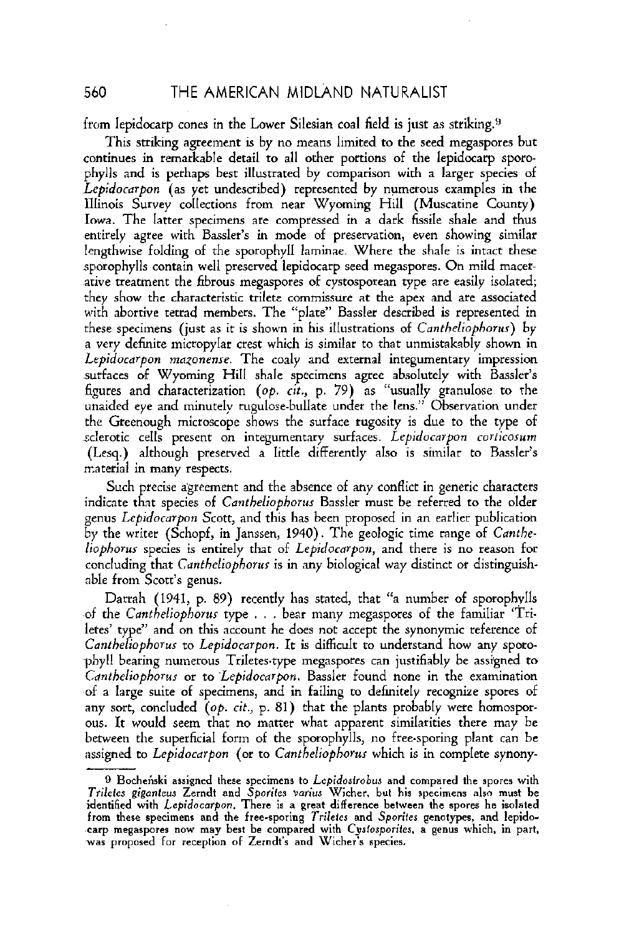560 THE AMERICAN MIDLAND NATURALIST

from lepidocarp cones in the Lower Silesian coal field is just as striking.<sup>9</sup>

This striking agreement is by no means limited to the seed megaspores but continues in remarkable detail to all other portions of the lepidocarp spotophylls and is perhaps best illustrated by comparison with a larger species of Lepidocarpon (as yet undescribed) represented by numerous examples in the lllinois Survey collections from near Wyoming Hill (Muscatine County) Iowa. The latter specimens are compressed in a dark fissile shale and thus entirely agree with Bassler's in mode of preservation, even showing similar lengthwise folding of the sporophyll laminae. Where the shale is intact these sporophylls contain well preserved lepidocarp seed megaspores. On mild macerarive treatment the fibrous megaspores of cystosporean type are easily isolated; they show the characteristic trilete commissure at the apex and are associated with abortive tetrad members. The "plate" Bassler described is represented in these specimens (just as it is shown in his illustrations of *Cantheliophorus*) by a very definite micropylar crest which is similar to thar unmistakably shown in Lepidocarpon mazoneme. The coaly and external integumentary impression surfaces of Wyoming Hill shale specimens agree absolutely with Bassler's figures and characterization (op.  $c\hat{u}$ , p. 79) as "usually granulose to the unaided eye and minutely rugulose-bullate under the lens." Observation under the Greenough microscope shows the surface rugosity is due to the type of sclerotic cells present on integumentary surfaces. Lepidocarpon corticosum (Lesq.) although preserved a little differently also is similar to Bassler's material in many respects.

Such precise agreement and the absence of any conflict in generic characters indicate that species of Cantheliophorus Bassler must be referred to the older genus Lepidocarpon Scott, and this has been proposed in an earlier publication by the writer (Schopf, in Janssen, 1940). The geologic time range of Cantheliophorur species is entirely thar of Lepidocarpon, and there is no reason for concluding that Cantheliophorus is in any biological way distinct or distinguishable from Scott's genus.

Darrah (1941, p. 89) recently has stated, that "a number of sporophvlls of the Cantheliophorus type . . . bear many megaspores of the familiar 'Triletes' type" and on this account he does not accept the synonymic reference of Cantheliophorus to Lepidocarpon. It is difficult to understand how any spotophyll bearing numerous Triletes-type megaspores can justifiably be assigned to Cantheliophorur or to Lepidocarpon. Bassler found none in the examination of a large suite of specimens, and in failing to definitely recognize spores of any sort, concluded  $(o, c, c, p. 81)$  that the plants probably were homosporous. It would seem that no matter what apparent similarities there may be between the superficial form of the sporophylls, no free-sporing plant can be assigned to Lepidocarpon (or to Cantheliophorus which is in complete synonyletes' type" and on<br>C*antheliophorus* to<br>phyll bearing nume<br>C*antheliophorus* or<br>of a large suite of<br>any sort, concluded<br>ous. It would seem<br>between the superfluces<br>of the suite of the suite of the suite of the suite<br>Trilet

<sup>9</sup> Bocheński assigned these specimens to Lepidostrobus and compared the spores with **Trilefes gigantcur** Zcrndt and **Sporifea varius** Wicher. but his specimens **also** must be identified with **Lepidocorpon.** There is **a** grcat difference bctwccn the spores he isolated from these specimens **and** the free-sporing **Trilcles** and **Sporilcs** gcnotypca, and lepido-carp megaspores now may best be compared with **Cyrfosporiles,** a genus which, in part, was proposed for reception of Zerndt's and Wicher's species.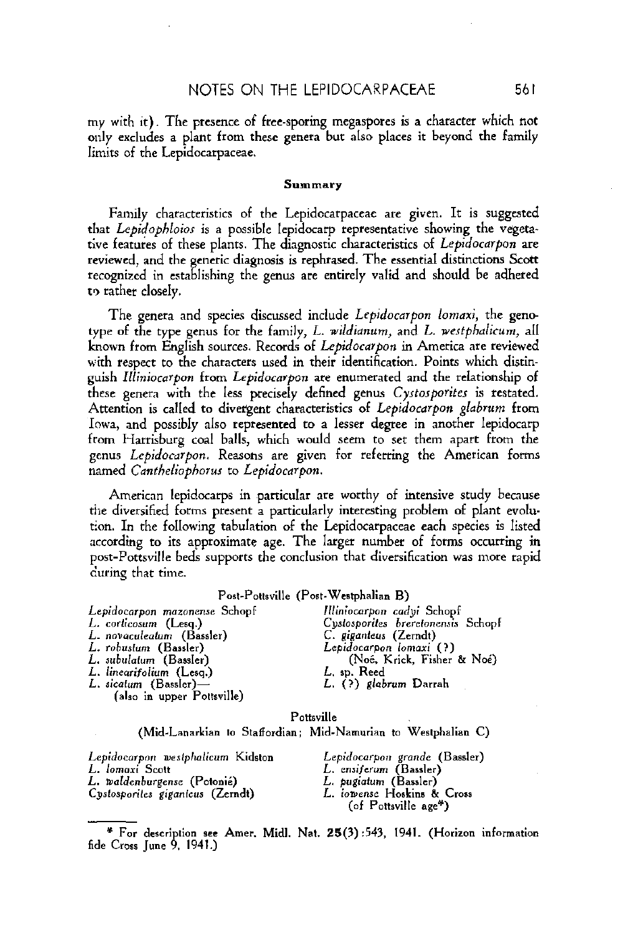## NOTES ON THE LEPIDOCARPACEAE **56** l

my with it). The presence of free-sporing megaspores is a character which not only excludes a plant from these genera but also places it beyond the family limits of the Lepidacarpaceae.

#### **Summery**

Family characteristics of the Lepidocarpaceae are given. It is suggested that Lepidophloios is a possible lepidocarp representative showing the vegetative features of these plants. The diagnostic characteristics of Lepidocarpon are reviewed, and the eneric diagnosis is rephrased. The essential distinctions **Scott**  recognized in establishing the genus are entirely valid and should be adhered to rather closely.

The genera and species discussed include Lepidocarpon lomaxi, the genotype of the type genus for the family, L. wildianum, and L. westphalicum, all known from English sources. Records of Lepidocarpon in America are reviewed with respect to the characters used in their identification. Points which distinpish llliniocarpon from Lepidocarpon are enumerated and the relationship of these genera with the less precisely defined genus Cyrtosporites is restated. Attention is called to divergent characteristics of Lepidocarpon glabrum from Iowa, and possibly also represented to a lesser degree in another lepidocarp from Harrisburg coal balls, which would seem to set them apart from the genus Lepidocarpon. Reasons are given for referring the American forms named Cmtheliophorus to Lepidocarpon.

American lcpidocarps in particular ate worthy of intensive study because the diversified forms present a particularly interesting problem of plant evolution. In the following tabulation of the Lepidocarpaceae each species is listed according to its approximate age. The larger number of forms occurring in post-Pottsville beds supports the conclusion that diversification was more rapid during that time.

#### Post-Pottsville (Post-Westphalian B)

| Lepidocarpon mazonense Schopf | Illiniocarpon cadyi Schopf         |
|-------------------------------|------------------------------------|
| L. corticosum (Lesq.)         | Cystosporites breretonensis Schopf |
| L. novaculeatum (Bassler)     | C. giganteus (Zerndt)              |
| L. robustum (Bassler)         | Lepidocarpon lomaxi (?)            |
| L. subulatum (Bassler)        | (Noé, Krick, Fisher & Noé)         |
| L. linearifolium (Lesa.)      | L, sp. Reed                        |
| L. sicatum (Bassler)—         | L. (?) glabrum Darrah              |
| (also in upper Pottsville)    |                                    |

Pottsville

(Mid-Lanarkian to Staffordian; Mid-Namurian to Weslphalian C)

**Lepiduearpon mestphalicum** Kida~on **Lepidocarpon gronde** (Baaaler) **L. moldcnburgenre** (Potonii) **L. pugialum** (Baulcr) L. (?) glabrum Darrah<br>
(also in upper Pottsville)<br>
Pottsville<br>
(Mid-Lanarkian to Staffordian; Mid-Namurian to Westpha<br>
Lepidocarpon westphalicum Kidston<br>
L. Iomaxi Scott<br>
L. Iomaxi Scott<br>
L. Staffordian; Lepidocarpon grand

L. ensiferum (Bassler)<br>*L. pugiatum (*Bassler) Cystosporites giganteus (Zerndt) **L. iowense Hoskins & C**<br>(6 Pottsville age\*)

<sup>&</sup>quot; **For** dcscriplian **aec** Amer. Midl. Nst. **25(7)** 543, 1941. (Horizon information fide **Cross lunc** 9. 1941.)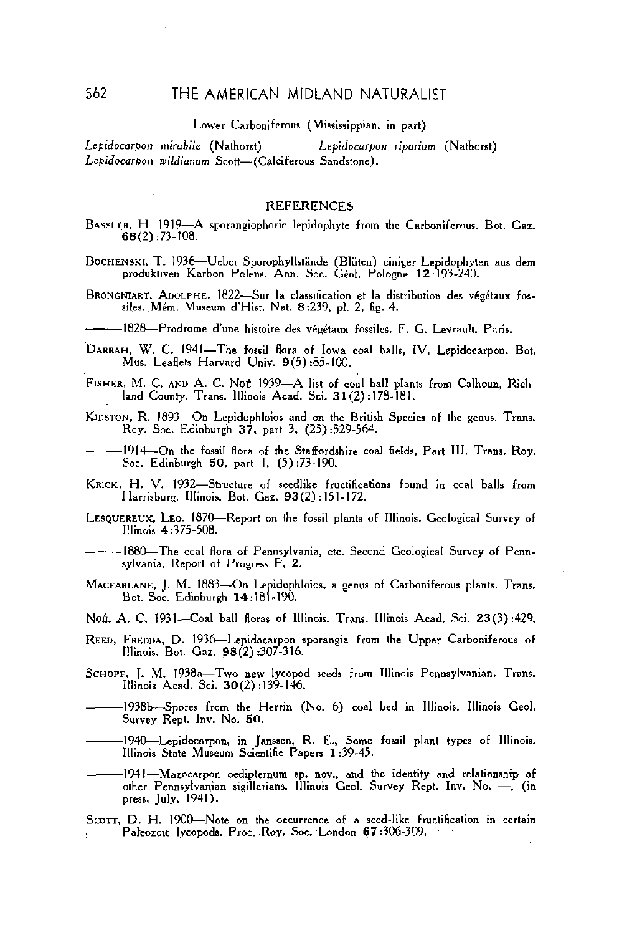#### THE AMERICAN MIDLAND NATURALIST

#### Lower Carboniferous (Mississippian, in part)

Lepidocarpon mirabile (Nathorst) Lepidocarpon riparium (Nathorst) Lepidocarpon wildianum Scott-(Calciferous Sandstone).

#### **REFERENCES**

- BASSLER, H. 1919-A sporangiophoric lepidophyte from the Carboniferous. Bot. Gaz.  $68(2):73-108.$
- BOCHENSKI, T. 1936-Ueber Sporophyllstände (Blüten) einiger Lepidophyten aus dem produktiven Karbon Polens. Ann. Soc. Géol. Pologne 12:193-240.
- BRONGNIART, ADOLPHE. 1822-Sur la classification et la distribution des végétaux fossiles. Mém. Museum d'Hist. Nat. 8:239, pl. 2, fig. 4.

---1828-Prodrome d'une histoire des végétaux fossiles. F. G. Levrault, Paris,

- DARRAH, W. C. 1941-The fossil flora of Iowa coal balls, IV. Lepidocarpon. Bot. Mus. Leaflets Harvard Univ. 9(5):85-100.
- FISHER, M. C. AND A. C. Not 1939-A list of coal ball plants from Calhoun, Richland County. Trans. Illinois Acad. Sci. 31(2):178-181.
- KIDSTON, R. 1893—On Lepidophloios and on the British Species of the genus. Trans. Roy. Soc. Edinburgh 37, part 3, (25):529-564.
- 1914—On the fossil flora of the Staffordshire coal fields, Part III, Trans, Roy, Soc. Edinburgh 50, part 1, (5):73-190.
- KRICK, H. V. 1932-Structure of seedlike fructifications found in coal balls from Harrisburg, Illinois, Bot. Gaz. 93(2):151-172.
- LESQUEREUX, LEO. 1870—Report on the fossil plants of Illinois. Geological Survey of Illinois 4:375-508.
- -1880-The coal flora of Pennsylvania, etc. Second Geological Survey of Pennsylvania, Report of Progress P, 2.
- MACFARLANE, J. M. 1883-On Lepidophloios, a genus of Carboniferous plants. Trans. Bot. Soc. Edinburgh 14:181-190.
- Non, A. C. 1931—Coal ball floras of Illinois. Trans. Illinois Acad. Sci. 23(3):429.
- REED, FREDDA, D. 1936—Lepidocarpon sporangia from the Upper Carboniferous of Illinois. Bot. Gaz. 98(2):307-316.
- SCHOPF, J. M. 1938a-Two new lycopod seeds from Illinois Pennsylvanian. Trans. Illinois Acad. Sci. 30(2):139-146.
- 1938b-Spores from the Herrin (No. 6) coal bed in Illinois. Illinois Geol. Survey Rept. Inv. No. 50.
- 1940—Lepidocarpon, in Janssen, R. E., Some fossil plant types of Illinois. Illinois State Museum Scientific Papers 1:39-45.
- -1941-Mazocarpon oedipternum sp. nov., and the identity and relationship of other Pennsylvanian sigillarians. Illinois Geol. Survey Rept. Inv. No. -, (in press, July, 1941).
- SCOTT, D. H. 1900-Note on the occurrence of a seed-like fructification in certain Paleozoic lycopods. Proc. Roy. Soc. London 67:306-309.